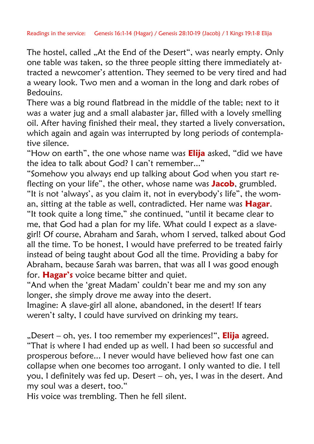The hostel, called "At the End of the Desert", was nearly empty. Only one table was taken, so the three people sitting there immediately attracted a newcomer's attention. They seemed to be very tired and had a weary look. Two men and a woman in the long and dark robes of Bedouins.

There was a big round flatbread in the middle of the table; next to it was a water jug and a small alabaster jar, filled with a lovely smelling oil. After having finished their meal, they started a lively conversation, which again and again was interrupted by long periods of contemplative silence.

"How on earth", the one whose name was **Elija** asked, "did we have the idea to talk about God? I can't remember..."

"Somehow you always end up talking about God when you start reflecting on your life", the other, whose name was **Jacob**, grumbled. "It is not "always", as you claim it, not in everybody"s life", the woman, sitting at the table as well, contradicted. Her name was **Hagar**.

"It took quite a long time," she continued, "until it became clear to me, that God had a plan for my life. What could I expect as a slavegirl! Of course, Abraham and Sarah, whom I served, talked about God all the time. To be honest, I would have preferred to be treated fairly instead of being taught about God all the time. Providing a baby for Abraham, because Sarah was barren, that was all I was good enough for. **Hagar's** voice became bitter and quiet.

"And when the "great Madam" couldn"t bear me and my son any longer, she simply drove me away into the desert.

Imagine: A slave-girl all alone, abandoned, in the desert! If tears weren't salty, I could have survived on drinking my tears.

"Desert – oh, yes. I too remember my experiences!", **Elija** agreed. "That is where I had ended up as well. I had been so successful and prosperous before... I never would have believed how fast one can collapse when one becomes too arrogant. I only wanted to die. I tell you, I definitely was fed up. Desert – oh, yes, I was in the desert. And my soul was a desert, too."

His voice was trembling. Then he fell silent.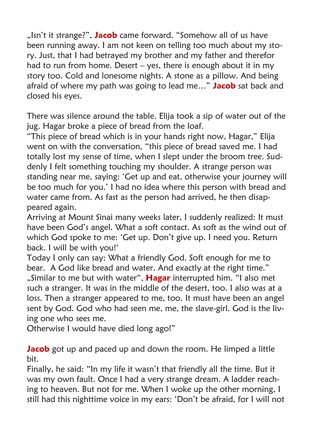"Isn't it strange?", **Jacob** came forward. "Somehow all of us have been running away. I am not keen on telling too much about my story. Just, that I had betrayed my brother and my father and therefor had to run from home. Desert  $-$  yes, there is enough about it in my story too. Cold and lonesome nights. A stone as a pillow. And being afraid of where my path was going to lead me…" **Jacob** sat back and closed his eyes.

There was silence around the table. Elija took a sip of water out of the jug. Hagar broke a piece of bread from the loaf.

"This piece of bread which is in your hands right now, Hagar," Elija went on with the conversation, "this piece of bread saved me. I had totally lost my sense of time, when I slept under the broom tree. Suddenly I felt something touching my shoulder. A strange person was standing near me, saying: "Get up and eat, otherwise your journey will be too much for you." I had no idea where this person with bread and water came from. As fast as the person had arrived, he then disappeared again.

Arriving at Mount Sinai many weeks later, I suddenly realized: It must have been God"s angel. What a soft contact. As soft as the wind out of which God spoke to me: "Get up. Don"t give up. I need you. Return back. I will be with you!'

Today I only can say: What a friendly God. Soft enough for me to bear. A God like bread and water. And exactly at the right time." "Similar to me but with water", **Hagar** interrupted him. "I also met such a stranger. It was in the middle of the desert, too. I also was at a loss. Then a stranger appeared to me, too. It must have been an angel sent by God. God who had seen me, me, the slave-girl. God is the living one who sees me.

Otherwise I would have died long ago!"

**Jacob** got up and paced up and down the room. He limped a little bit.

Finally, he said: "In my life it wasn't that friendly all the time. But it was my own fault. Once I had a very strange dream. A ladder reaching to heaven. But not for me. When I woke up the other morning, I still had this nighttime voice in my ears: "Don"t be afraid, for I will not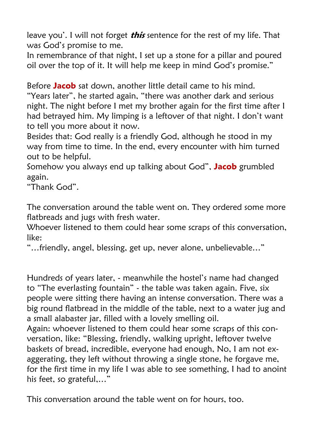leave you'. I will not forget **this** sentence for the rest of my life. That was God"s promise to me.

In remembrance of that night, I set up a stone for a pillar and poured oil over the top of it. It will help me keep in mind God"s promise."

Before **Jacob** sat down, another little detail came to his mind.

"Years later", he started again, "there was another dark and serious night. The night before I met my brother again for the first time after I had betrayed him. My limping is a leftover of that night. I don"t want to tell you more about it now.

Besides that: God really is a friendly God, although he stood in my way from time to time. In the end, every encounter with him turned out to be helpful.

Somehow you always end up talking about God", **Jacob** grumbled again.

"Thank God".

The conversation around the table went on. They ordered some more flatbreads and jugs with fresh water.

Whoever listened to them could hear some scraps of this conversation, like:

"…friendly, angel, blessing, get up, never alone, unbelievable…"

Hundreds of years later, - meanwhile the hostel"s name had changed to "The everlasting fountain" - the table was taken again. Five, six people were sitting there having an intense conversation. There was a big round flatbread in the middle of the table, next to a water jug and a small alabaster jar, filled with a lovely smelling oil.

Again: whoever listened to them could hear some scraps of this conversation, like: "Blessing, friendly, walking upright, leftover twelve baskets of bread, incredible, everyone had enough, No, I am not exaggerating, they left without throwing a single stone, he forgave me, for the first time in my life I was able to see something, I had to anoint his feet, so grateful,…"

This conversation around the table went on for hours, too.